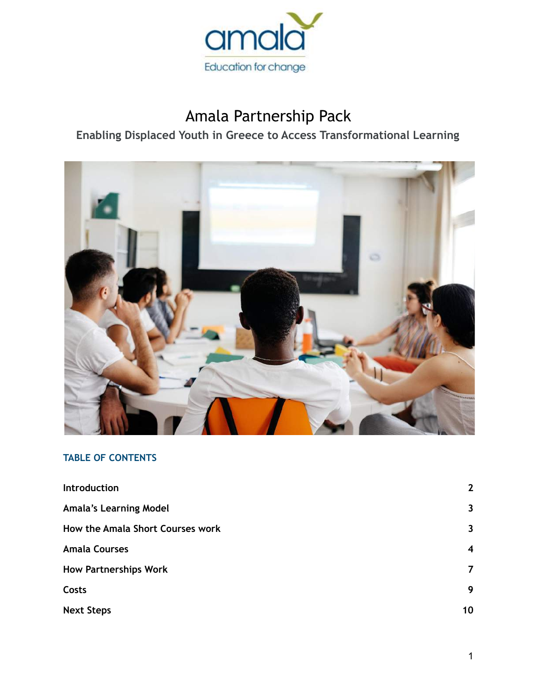

## Amala Partnership Pack

## **Enabling Displaced Youth in Greece to Access Transformational Learning**



## **TABLE OF CONTENTS**

| <b>Introduction</b>              | $\mathbf{2}$            |
|----------------------------------|-------------------------|
| <b>Amala's Learning Model</b>    | $\overline{\mathbf{3}}$ |
| How the Amala Short Courses work | $\mathbf{3}$            |
| <b>Amala Courses</b>             | $\boldsymbol{4}$        |
| <b>How Partnerships Work</b>     | $\overline{7}$          |
| Costs                            | 9                       |
| <b>Next Steps</b>                | 10                      |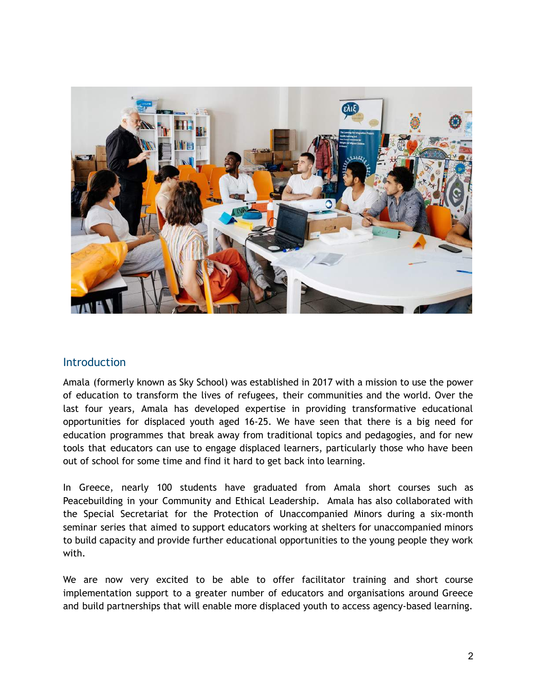

#### <span id="page-1-0"></span>Introduction

Amala (formerly known as Sky School) was established in 2017 with a mission to use the power of education to transform the lives of refugees, their communities and the world. Over the last four years, Amala has developed expertise in providing transformative educational opportunities for displaced youth aged 16-25. We have seen that there is a big need for education programmes that break away from traditional topics and pedagogies, and for new tools that educators can use to engage displaced learners, particularly those who have been out of school for some time and find it hard to get back into learning.

In Greece, nearly 100 students have graduated from Amala short courses such as Peacebuilding in your Community and Ethical Leadership. Amala has also collaborated with the Special Secretariat for the Protection of Unaccompanied Minors during a six-month seminar series that aimed to support educators working at shelters for unaccompanied minors to build capacity and provide further educational opportunities to the young people they work with.

We are now very excited to be able to offer facilitator training and short course implementation support to a greater number of educators and organisations around Greece and build partnerships that will enable more displaced youth to access agency-based learning.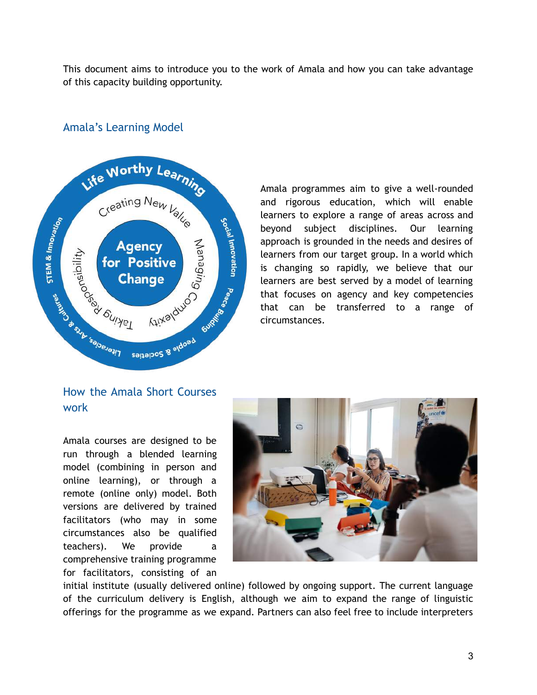This document aims to introduce you to the work of Amala and how you can take advantage of this capacity building opportunity.

# Life Worthy Learning Creating New Value STEM & Innovation Social Innovation **Alixalduo a sulfaced development** Age<br>
For Prochable for Prochable **Agency** for Positive **Change** ILITORIAL SEARCH AVE seiteiboz & siqosq

## <span id="page-2-0"></span>Amala's Learning Model

Amala programmes aim to give a well-rounded and rigorous education, which will enable learners to explore a range of areas across and beyond subject disciplines. Our learning approach is grounded in the needs and desires of learners from our target group. In a world which is changing so rapidly, we believe that our learners are best served by a model of learning that focuses on agency and key competencies that can be transferred to a range of circumstances.

## <span id="page-2-1"></span>How the Amala Short Courses work

Amala courses are designed to be run through a blended learning model (combining in person and online learning), or through a remote (online only) model. Both versions are delivered by trained facilitators (who may in some circumstances also be qualified teachers). We provide a comprehensive training programme for facilitators, consisting of an



initial institute (usually delivered online) followed by ongoing support. The current language of the curriculum delivery is English, although we aim to expand the range of linguistic offerings for the programme as we expand. Partners can also feel free to include interpreters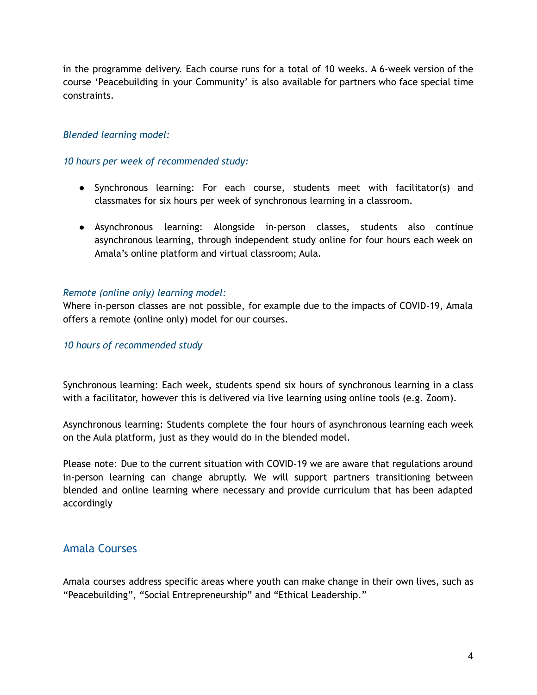in the programme delivery. Each course runs for a total of 10 weeks. A 6-week version of the course 'Peacebuilding in your Community' is also available for partners who face special time constraints.

#### *Blended learning model:*

#### *10 hours per week of recommended study:*

- Synchronous learning: For each course, students meet with facilitator(s) and classmates for six hours per week of synchronous learning in a classroom.
- Asynchronous learning: Alongside in-person classes, students also continue asynchronous learning, through independent study online for four hours each week on Amala's online platform and virtual classroom; Aula.

#### *Remote (online only) learning model:*

Where in-person classes are not possible, for example due to the impacts of COVID-19, Amala offers a remote (online only) model for our courses.

#### *10 hours of recommended study*

Synchronous learning: Each week, students spend six hours of synchronous learning in a class with a facilitator, however this is delivered via live learning using online tools (e.g. Zoom).

Asynchronous learning: Students complete the four hours of asynchronous learning each week on the Aula platform, just as they would do in the blended model.

Please note: Due to the current situation with COVID-19 we are aware that regulations around in-person learning can change abruptly. We will support partners transitioning between blended and online learning where necessary and provide curriculum that has been adapted accordingly

#### <span id="page-3-0"></span>Amala Courses

Amala courses address specific areas where youth can make change in their own lives, such as "Peacebuilding", "Social Entrepreneurship" and "Ethical Leadership."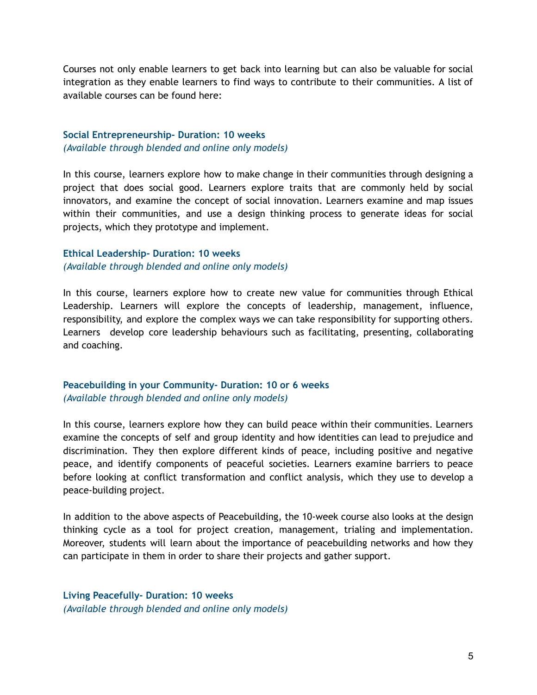Courses not only enable learners to get back into learning but can also be valuable for social integration as they enable learners to find ways to contribute to their communities. A list of available courses can be found here:

#### **Social Entrepreneurship- Duration: 10 weeks** *(Available through blended and online only models)*

In this course, learners explore how to make change in their communities through designing a project that does social good. Learners explore traits that are commonly held by social innovators, and examine the concept of social innovation. Learners examine and map issues within their communities, and use a design thinking process to generate ideas for social projects, which they prototype and implement.

#### **Ethical Leadership- Duration: 10 weeks** *(Available through blended and online only models)*

In this course, learners explore how to create new value for communities through Ethical Leadership. Learners will explore the concepts of leadership, management, influence, responsibility, and explore the complex ways we can take responsibility for supporting others. Learners develop core leadership behaviours such as facilitating, presenting, collaborating and coaching.

#### **Peacebuilding in your Community- Duration: 10 or 6 weeks** *(Available through blended and online only models)*

In this course, learners explore how they can build peace within their communities. Learners examine the concepts of self and group identity and how identities can lead to prejudice and discrimination. They then explore different kinds of peace, including positive and negative peace, and identify components of peaceful societies. Learners examine barriers to peace before looking at conflict transformation and conflict analysis, which they use to develop a peace-building project.

In addition to the above aspects of Peacebuilding, the 10-week course also looks at the design thinking cycle as a tool for project creation, management, trialing and implementation. Moreover, students will learn about the importance of peacebuilding networks and how they can participate in them in order to share their projects and gather support.

**Living Peacefully- Duration: 10 weeks** *(Available through blended and online only models)*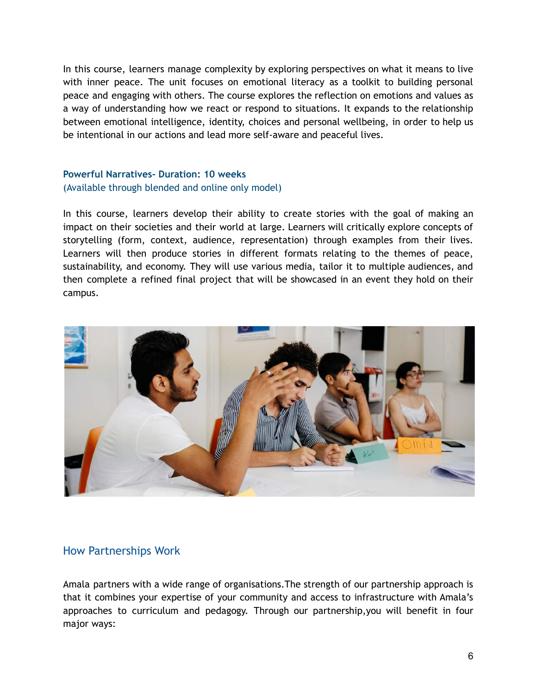In this course, learners manage complexity by exploring perspectives on what it means to live with inner peace. The unit focuses on emotional literacy as a toolkit to building personal peace and engaging with others. The course explores the reflection on emotions and values as a way of understanding how we react or respond to situations. It expands to the relationship between emotional intelligence, identity, choices and personal wellbeing, in order to help us be intentional in our actions and lead more self-aware and peaceful lives.

#### **Powerful Narratives- Duration: 10 weeks** (Available through blended and online only model)

In this course, learners develop their ability to create stories with the goal of making an impact on their societies and their world at large. Learners will critically explore concepts of storytelling (form, context, audience, representation) through examples from their lives. Learners will then produce stories in different formats relating to the themes of peace, sustainability, and economy. They will use various media, tailor it to multiple audiences, and then complete a refined final project that will be showcased in an event they hold on their campus.



### <span id="page-5-0"></span>How Partnerships Work

Amala partners with a wide range of organisations.The strength of our partnership approach is that it combines your expertise of your community and access to infrastructure with Amala's approaches to curriculum and pedagogy. Through our partnership,you will benefit in four major ways: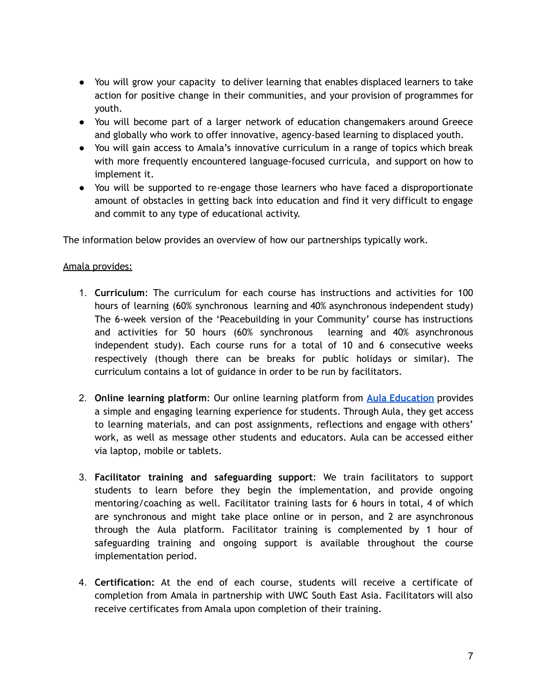- You will grow your capacity to deliver learning that enables displaced learners to take action for positive change in their communities, and your provision of programmes for youth.
- You will become part of a larger network of education changemakers around Greece and globally who work to offer innovative, agency-based learning to displaced youth.
- You will gain access to Amala's innovative curriculum in a range of topics which break with more frequently encountered language-focused curricula, and support on how to implement it.
- You will be supported to re-engage those learners who have faced a disproportionate amount of obstacles in getting back into education and find it very difficult to engage and commit to any type of educational activity.

The information below provides an overview of how our partnerships typically work.

#### Amala provides:

- 1. **Curriculum**: The curriculum for each course has instructions and activities for 100 hours of learning (60% synchronous learning and 40% asynchronous independent study) The 6-week version of the 'Peacebuilding in your Community' course has instructions and activities for 50 hours (60% synchronous learning and 40% asynchronous independent study). Each course runs for a total of 10 and 6 consecutive weeks respectively (though there can be breaks for public holidays or similar). The curriculum contains a lot of guidance in order to be run by facilitators.
- 2. **Online learning platform**: Our online learning platform from **Aula [Education](http://aula.education)** provides a simple and engaging learning experience for students. Through Aula, they get access to learning materials, and can post assignments, reflections and engage with others' work, as well as message other students and educators. Aula can be accessed either via laptop, mobile or tablets.
- 3. **Facilitator training and safeguarding support**: We train facilitators to support students to learn before they begin the implementation, and provide ongoing mentoring/coaching as well. Facilitator training lasts for 6 hours in total, 4 of which are synchronous and might take place online or in person, and 2 are asynchronous through the Aula platform. Facilitator training is complemented by 1 hour of safeguarding training and ongoing support is available throughout the course implementation period.
- 4. **Certification:** At the end of each course, students will receive a certificate of completion from Amala in partnership with UWC South East Asia. Facilitators will also receive certificates from Amala upon completion of their training.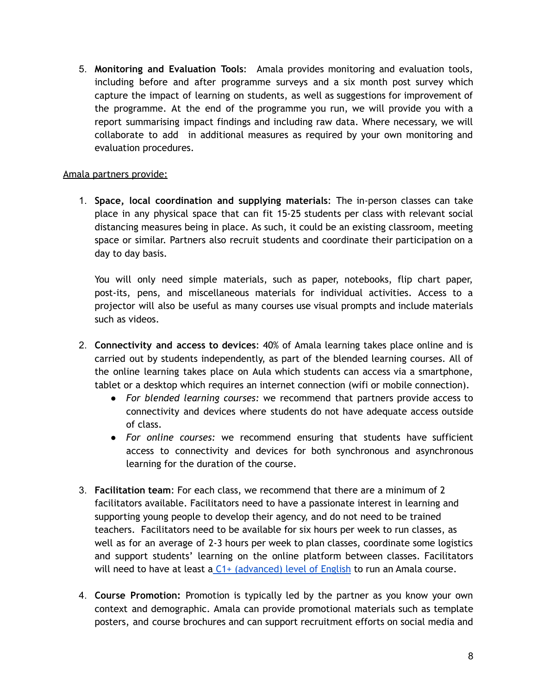5. **Monitoring and Evaluation Tools**: Amala provides monitoring and evaluation tools, including before and after programme surveys and a six month post survey which capture the impact of learning on students, as well as suggestions for improvement of the programme. At the end of the programme you run, we will provide you with a report summarising impact findings and including raw data. Where necessary, we will collaborate to add in additional measures as required by your own monitoring and evaluation procedures.

#### Amala partners provide:

1. **Space, local coordination and supplying materials**: The in-person classes can take place in any physical space that can fit 15-25 students per class with relevant social distancing measures being in place. As such, it could be an existing classroom, meeting space or similar. Partners also recruit students and coordinate their participation on a day to day basis.

You will only need simple materials, such as paper, notebooks, flip chart paper, post-its, pens, and miscellaneous materials for individual activities. Access to a projector will also be useful as many courses use visual prompts and include materials such as videos.

- 2. **Connectivity and access to devices**: 40% of Amala learning takes place online and is carried out by students independently, as part of the blended learning courses. All of the online learning takes place on Aula which students can access via a smartphone, tablet or a desktop which requires an internet connection (wifi or mobile connection).
	- *For blended learning courses:* we recommend that partners provide access to connectivity and devices where students do not have adequate access outside of class.
	- *For online courses:* we recommend ensuring that students have sufficient access to connectivity and devices for both synchronous and asynchronous learning for the duration of the course.
- 3. **Facilitation team**: For each class, we recommend that there are a minimum of 2 facilitators available. Facilitators need to have a passionate interest in learning and supporting young people to develop their agency, and do not need to be trained teachers. Facilitators need to be available for six hours per week to run classes, as well as for an average of 2-3 hours per week to plan classes, coordinate some logistics and support students' learning on the online platform between classes. Facilitators will need to have at least a  $C1+$  [\(advanced\)](https://rm.coe.int/CoERMPublicCommonSearchServices/DisplayDCTMContent?documentId=090000168045bb52) level of English to run an Amala course.
- 4. **Course Promotion:** Promotion is typically led by the partner as you know your own context and demographic. Amala can provide promotional materials such as template posters, and course brochures and can support recruitment efforts on social media and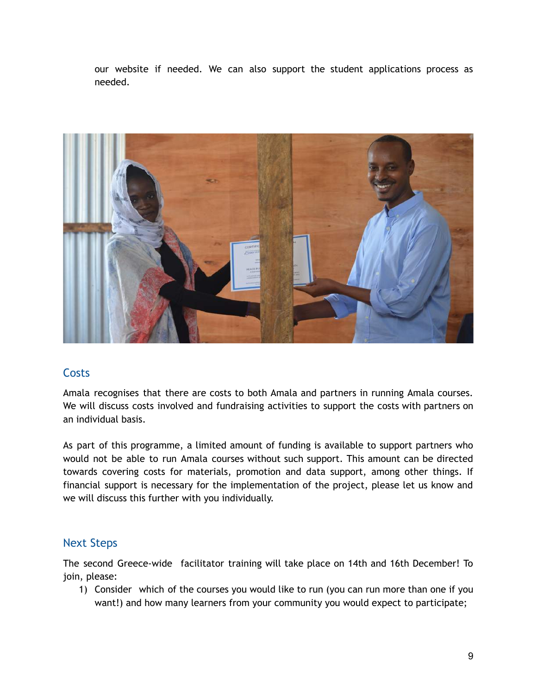our website if needed. We can also support the student applications process as needed.

<span id="page-8-0"></span>

## **Costs**

Amala recognises that there are costs to both Amala and partners in running Amala courses. We will discuss costs involved and fundraising activities to support the costs with partners on an individual basis.

As part of this programme, a limited amount of funding is available to support partners who would not be able to run Amala courses without such support. This amount can be directed towards covering costs for materials, promotion and data support, among other things. If financial support is necessary for the implementation of the project, please let us know and we will discuss this further with you individually.

## <span id="page-8-1"></span>Next Steps

The second Greece-wide facilitator training will take place on 14th and 16th December! To join, please:

1) Consider which of the courses you would like to run (you can run more than one if you want!) and how many learners from your community you would expect to participate;